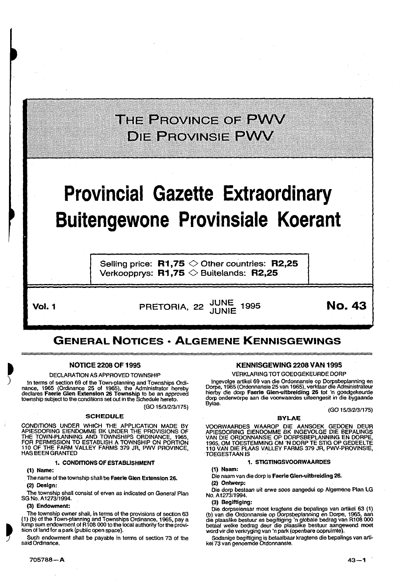## THE PROVINCE OF PWV **DIE PROVINSIE PWV**

## **Provincial Gazette Extraordinary Buitengewone Provinsiale Koerant**

Selling price:  $R1,75$   $\diamond$  Other countries: R2,25 Verkoopprys:  $R1,75 \diamondsuit$  Buitelands: R2,25

 $\bullet$ )

Vol. 1 **Vol. 1** PRETORIA, 22  $\frac{JUNE}{JUNIE}$  1995 **No. 43** 

### GENERAL NOTICES • ALGEMENE KENNISGEWINGS

#### NOTICE 2208 OF 1995

#### DECLARATION AS APPROVED TOWNSHIP

In terms of section 69 of the Town-planning and Townships Ordinance, 1965 (Ordinance 25 of 1965), the Administrator hereby<br>declares **Faerie Glen Extension 26 Township** to be an approved<br>township subject to the conditions set out in the Schedule hereto.

(GO 1513/2131175)

#### SCHEDULE

CONDITIONS UNDER WHICH THE APPLICATION MADE BY APIESDORING EIENDOMME BK UNDER THE PROVISIONS OF THE TOWN-PLANNING AND TOWNSHIPS ORDINANCE, 1965,<br>FOR PERMISSION TO ESTABLISH A TOWNSHIP ON PORTION<br>110 OF THE FARM VALLEY FARMS 379 JR, PWV PROVINCE,<br>HAS BEEN GRANTED

#### 1. CONDITIONS OF ESTABLISHMENT

(1) Name:

The name of the township shall be Faerie Glen Extension 26. (2) Design:

The township shall consist of erven as indicated on General Plan SG No. A1273/1994.

(3) Endowment:

The township owner shall, in terms of the provisions of section 63 ( 1 ) (b) of the Town-planning and Townships Ordinance, 1965, pay a lump sum endowment of R 1 08 000 to the local authority lor the provision of land for a park (public open space).

Such endowment shall be payable in terms of section 73 of the said Ordinance.

#### KENNISGEWING 2208 VAN 1995

#### VERKLARING TOT GOEDGEKEURDE DORP

lngevolge artikel 69 van die Ordonnansie op Dorpsbeplanning en Dorpe, 1965 (Ordonnansie 25 van 1965), verklaar die Administrateur hierby die dorp Faerie Glen-ultbreiding 26 tot 'n goedgekeurde dorp onderworpe aan die voorwaardes uiteengesit in die bygaande Bylae.

(GO 1513/2/31175)

#### BYLAE

VOORWAARDES WAAROP DIE AANSOEK GEDOEN DEUR<br>APIESDORING EIENDOMME BK INGEVOLGE DIE BEPALINGS<br>VAN DIE ORDONNANSIE OP DORPSBEPLANNING EN DORPE, 1965, OM TOESTEMMING OM 'N DORP TE STIG OP GEDEELTE 110 VAN DIE PLMS VALLEY FARMS 379 JR, PWV-PROVINSIE, **TOEGESTAAN IS** 

#### 1. STIGTINGSVOORWAARDES

(1) Naam:

Die naam van die dorp is Faerie Glen-ultbreldlng 26.

(2) Ontwerp:

Die dorp bestaan uit erwe soos aangedui op Algemene Plan LG No.A1273/1994.

(3) Beglftlglng:

Die dorpseienaar moet kragtens die bepalings van artikel 63 ( 1) (b) van die Ordonnansie op Dorpsbeplanning en Dorpe, 1965, aan die plaaslike bestuur as begittiging 'n globale bedrag van R108 000<br>betaal welke bedrag deur die plaaslike bestuur aangewend moet word vir die verkryging van 'n park (openbare oopruimte).

Sodanige begiltiging is betaalbaar kragtens die bepalings van artikel73 van genoemde Ordonnansie.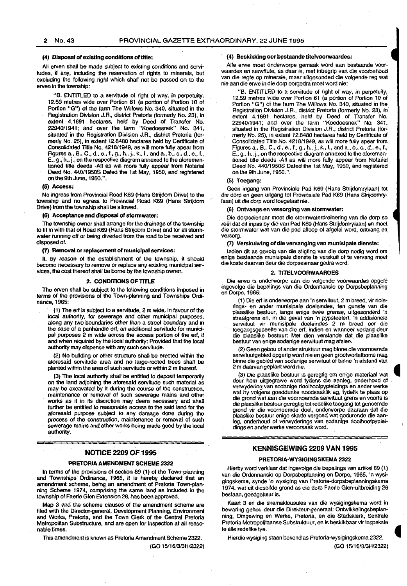#### 2 No.43 PROVINCIAL GAZETTE EXTRAORDINARY, 22 JUNE 1995

#### (4) Disposal of existing conditions of title:

All erven shall be made subject to existing conditions and servitudes, if any, including the reservation of rights to minerals, but excluding the following right which shall not be passed on to the erven in the township:

"B. ENTITLED to a servitude of right of *way,* in perpetuity, 12.59 metres wide over Portion 61 (a portion of Portion 10 of Portion "G") of the farm The Willows No. 340, situated in the Registration Division J.R., district Pretoria (formerly No. 23), in extent 4.1691 hectares, held by Deed of Transfer No. 22940/1941; and over the farm "Koedoesnek" No. 341, situated in the Registration Division J.R., district Pretoria (formerly No. 25), in extent 12.8480 hectares held by Certificate of Consolidated Title No. 4218/1949, as will more fully apearfrom Figures a, B., C., d., e .• f., g., h., j., k., 1., and a., b., c., d., e., f., E .• g.;h., j., on the respective diagram annexed to the aforementioned title deeds -All as will more fully appear from Notarial Deed No. 440/19508 Dated the 1st May, 1950, and registered on the 9th June, 1950.".

#### (5) Access:

No ingress from Provincial Road K69 (Hans Strijdom Drive) to the township and no egress to Provincial Road K69 (Hans Strijdom Drive) from the township shall be allowed.

#### (6) Acceptance and disposal of stormwater:

The township owner shall arrange for the drainage of the township to fit in with that of Road K69 (Hans Strijdom Drive) and for all stormwater running off or being diverted from the road to be received and disposed of.

(7) Removal or replacement of municipal services:

If, by reason of the establishment of the township, it should become necessary to remove or replace any existing municipal services, the cost thereof shall be borne by the township owner.

#### 2. CONDITIONS OF TITLE

The erven shall be subject to the following conditions imposed in terms of the provisions of the Town-planning and Townships Ordinance, 1965:

(1) The erf is subject to a servitude, 2 m wide, in favour of the local authority, for sewerage and other municipal purposes, along any two boundaries other than a street boundary and in the case of a panhandle erf, an additional servitude for municipal purposes 2 m wide across the access portion of the erf, if and when required by the local authority: Provided that the local authority *may* dispense with any such servitude.

(2) No building or other structure shall be erected within the aforesaid servitude area and no large-rooted trees shall be planted within the area of such servitude or within 2 m thereof.

(3) The local authorily shall be entitled to deposit temporarily on the land adjoining the aforesaid servitude such malerial as may be excavated by it during the course of the construction, maintenance or removal of such sewerage mains and other works as it in its discretion *may* deem necessary and shall further be entitled to reasonable access to the said land for the aforesaid purpose subject to any damage done during the process of the construction, maintenance or removal of such sewerage mains and other works being made good by the local authority.

#### NOTICE 2209 OF 1995

#### PRETORIA AMENDMENT SCHEME 2322

In terms of the provisions of section 89 (1) of the Town-planning and Townships Ordinance, 1965, it is hereby declared that an amendment scheme, being an amendment of Pretoria Town-planning Scheme 1974, comprising the same land as included in the township of Faerie Glen Extension 26, has been approved.

Map 3 and the scheme clauses of the amendment scheme are filed with the Director-general, Development Planning, Environment and Works, Pretoria, and the Town Clerk of the Central Pretoria Metropolitan Substructure, and are open for inspection at all reasonable times.

This amendment is known as Pretoria Amendment Scheme 2322.

(GO 15/16/3/3H/2322)

#### (4) Beskikking oor bestaande titelvoorwaardes:

Alle erwe moet onderworpe gemaak word aan bestaande voorwaardes en serwitute, as daar is, met inbegrip van die voorbehoud van die regie op minerale, maar uitgesonded die volgende reg wat nie aan die erwe in die dorp oorgedra moet word nie:

"B. ENTITLED to a servitude of right of way, in perpetuity, 12.59 metres wide over Portion 61 (a portion of Portion 10 of Portion "G") of the farm The Willows No. 340, situated in the Registration Division J.R., district Pretoria (formerly No. 23), in extent 4.1691 hectares, held by Deed of Transfer No. 22940/1941; and over the farm "Koedoesnek" No. 341, situated in the Registration Division J.R., district Pretoria (formerly No. 25), in extent 12.8480 hectares held by Certificate of Consolidated Tille No. 4218/1949, as will more tully apear from Figures a., B., C., d., e., f., g., h., j., k., l., and a., b., c., d., e., f., E., g., h., j., on the respective diagram annexed to the aforementioned title deeds -All as will more fully appear from Notarial Deed No. 440/1950S Dated the 1st May, 1950, and registered on the 9th June, 1950. ".

#### (5) Toegang:

Geen ingang van Provinsiale Pad K69 (Hans Slrijdomrylaan) tot die dorp en geen uitgang tot Provinsiale Pad K69 (Hans Strijdomrylaan) uit die dorp word toegelaat nie.

#### (6) Ontvangs en versorging van stormwater:

Die dorpseienaar moet die stormwaterdreinering van die dorp so reël dat dit inpas by dié van Pad K69 (Hans Strijdomrylaan) en moet die stormwater wat van die pad afloop of afgelei word, ontvang en versorg.

(7) Verskuiwing of die vervanging van munislpale dienste:

lndien dil as gevolg van die stigting van die dorp nodig word om enige bestaande munisipale dienste te verskuif of te vervang moet die koste daarvan deur die dorpseienaar gedra word.

#### 2. TITELVOORWAARDES

Die erwe is onderworpe aan die volgende voorwaardes opgele ingevolge die bepalings van die Ordonnansie op Dorpsbeplanning en Oorpe, 1965:

(1) Die erf is onderworpe aan 'n serwituut, 2 m breed, vir riole-. rings- en ander munisipale doeleindes, ten gunste van die plaaslike besluur, langs enige twee grense, uitgesonderd 'n straatgrens en, in die geval van 'n pypsteelerf, 'n addisionele serwituut vir munisipale doeleindes 2 m breed oor die toegangsgedeelte van die erf, indien en wanneer verlang deur die plaaslike bestuur: Met dien verstande dat die plaaslike bestuur van enige sodanige serwituut mag afsien.

(2) Geen gebou of ander struktuur mag binne die voornoemde serwituutgebied opgerig word nie en geen grootwortelbome mag binne die gebied van sodanige serwituut of binne 'n afstand van 2m daarvan geplant word nie. •

(3) Die plaaslike bestuur is geregtig om enige materiaal wat • deur hom uitgegrawe word tydens die aanleg, onderhoud of . verwydering van sodanige rioolhoofpypleidings en ander werke wat hy volgens goeddunke noodsaaklik ag, tydelik te plaas op die grond wat aan die voornoemde serwituut grens en voorts is die plaaslike bestuur geregtig tot redelike toegang tot genoemde grand vir die voornoemde doel, onderworpe daaraan dat die plaaslike bestuur enige skade vergoed wat gedurende die aanleg, onderhoud of verwyderings van sodanige rioolhoofpypleidings en ander werke veroorsaak word.

#### KENNISGEWING 2209 VAN 1995

#### PRETORIA-WYSIGINGSKEMA 2322

Hierby word verklaar dat ingevolge die bepalings van artikel89 (1) van die Ordonnansie op Dorpsbeplanning en Dorpe, 1965, 'n wysigingskema, synde 'n wysiging van Pretoria-dorpsbeplanningskema 1974, wat uit dieselfde grond as die dorp Faerie Glen-uitbreiding 26 bestaan, goedgekeur is.

Kaart 3 en die skemaklousules van die wysigingskema word in bewaring gehou deur die Direkteur-generaal: Ontwikkelingsbeplanning, Omgewing en Werke, Pretoria, en die Stadsklerk, Sentrale ning, Onigoming Off Yronic, Trochic, en die Oddeniem, Oomdate<br>Pretoria Metropolitaanse Substruktuur, en is beskikbaar vir inspeksie<br>te alle redelike tye.

Hierdie wysiging staan bekend as Pretoria-wysigingskema 2322. (GO 15/16/3/3H/2322)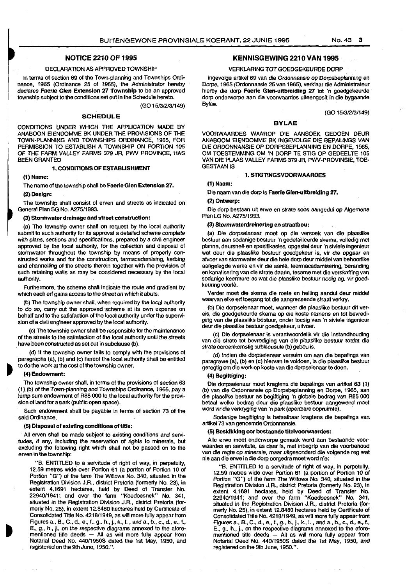#### NOTICE 2210 OF 1995

#### DECLARATION AS APPROVED TOWNSHIP

In terms of section 69 of the Town-planning and Townships Ordinance, 1965 (Ordinance 25 of 1965), the Administrator hereby declares Faerie Glen Extension 27 Township to be an approved township subject to the conditions set out in the Schedule hereto.

(GO 1513/213/149)

#### SCHEDULE

CONDITIONS UNDER WHICH THE APPLICATION MADE BY ANABOON EIENDOMME BK UNDER THE PROVISIONS OF THE TOWN-PLANNING AND TOWNSHIPS ORDINANCE, 1965, FOR PERMISSION TO ESTABLISH A TOWNSHIP ON PORTION 105 OF THE FARM VALLEY FARMS 379 JR, PWV PROVINCE, HAS BEEN GRANTED

#### 1. CONDITIONS OF ESTABLISHMENT

#### (1) Name:

The name of the township shall be Faerie Glen Extension 27.

#### (2) Design:

The township shall consist of erven and streets as indicated on General Plan SG No. A275/1993.

#### (3) Stormwater drainage and street construction:

(a) The township owner shall on request by the local authority submit to such authority for its approval a detailed scheme complete with plans, sections and specifications, prepared by a civil engineer approved by the local authority, for the collection and disposal of stormwater throughout the township by means of properly constructed works and for the construction, tarmacadamising, kerbing and channelling of the streets therein together with the provision of such retaining walls as may be considered necessary by the local authority.

Furthermore, the scheme shall indicate the route and gradient by which each erf gains access to the street on which it abuts.

(b) The township owner shall, when required by the local authority to do so, carry out the approved scheme at its own expense on behalf and to the satisfaction of the local authority under the supervision of a civil engineer approved by the local authority.

(c) The township owner shall be responsible for the maintenance of the streets to the satisfaction of the local authority until the streets have been constructed as set out in subclause (b).

(d) If the township owner fails to comply with the provisions of paragraphs (a), (b) and (c) hereof the local authority shall be entitled to do the work at the cost of the township owner.

#### • (4) Endowment:

The township owner shall, in terms of the provisions of section 63 (1) (b) of the Town-planning and Townships Ordinance, 1965, pay a lump sum endowment of R85 000 to the local authority for the provision of land for a park (public open space).

Such endowment shall be payable in terms of section 73 of the said Ordinance.

#### (5) Disposal of existing conditions of title:

All erven shall be made subject to existing conditions and servitudes, if any, including the reservation of rights to minerals, but excluding the following right which shall not be passed on to the erven in the township:

"B. ENTITLED to a servitude of right of way, in perpetuity, 12.59 metres wide over Portion 61 (a portion of Portion 10 of Portion "G") of the farm The Willows No. 340, situated in the Registration Division J.R., district Pretoria (formerly No. 23), in extent 4.1691 hectares, held by Deed of Transfer No. 22940/1941; and over the farm "Koedoesnek" No. 341, situated in the Registration Division J.R., district Pretoria (formerly No. 25), in extent 12.8480 hectares held by Certificate of Consolidated Title No. 4218/1949, as will more fully appear from Figures a., B., C., d., e., f., g., h., j., k., I. , and a., b., c., d., e., f., E., g., h., j., on the respective diagrams annexed to the aforementioned title deeds  $-$  All as will more fully appear from Notarial Deed No. 440/1950S dated the 1st May, 1950, and registered on the 9th June, 1950. ".

#### KENNISGEWING 2210 VAN 1995

#### VERKLARING TOT GOEDGEKEURDE DORP

lngevolge artikel 69 van die Ordonnansie op Dorpsbeplanning en Dorpe, 1965 (Ordonnansie 25 van 1965), verklaar die Administrateur hierby die dorp Faerie Glen-uitbreiding 27 tot 'n goedgekeurde dorp onderworpe aan die voorwaardes uileengesit in die bygaande Bylae.

(GO 1513/2131149)

#### BYLAE

VOORWAARDES WAAROP DIE AANSOEK GEOOEN DEUR ANABOOM EIENOOMME BK INGEVOLGE DIE BEPALINGS VAN DIE OROONNANSIE OP DORPSBEPLANNING EN OORPE, 1965, OM TOESTEMMING OM 'N DORP TE STIG OP GEDEELTE 105 VAN DIE PLAAS VALLEY FARMS 379 JR, PWV-PROVINSIE, TOE· GESTAANIS

#### 1. STIGTINGSVOORWAARDES

#### (1) Naam:

Die naam van die dorp is Faerie Glen-uitbrelding 27.

#### (2) Ontwerp:

Die dorp bestaan uit erwe en strate soos aangedui op Algemene Plan LG No. A275/1993.

#### (3) Stormwaterdrelnerlng en straatbou:

(a) Die dorpseienaar moe! op die versoek van die plaaslike bestuur aan sodanige bestuur 'n gedetailleerde skema, volledig met planne, deursnee en spesifikasies, opgestel deur 'n siviele ingenieur wat deur die plaaslike bestuur goedgekeur is, vir die opgaar en afvoer van stormwater deur die hele dorp deur middel van behoorlike aangelegde werke en vir die aanle, teermacadamisering, beranding en kanalisering van die strata daarin, tesame met die verskaffing van sodanige keermure as wat die plaaslike bestuur nodig ag, vir goed· keuring voorle.

Verder moet die skema die roete en helling aandui deur middel waarvan elke erf toegang tot die aangrensende straat verkry.

(b) Die dorpseienaar moet, wanneer die plaaslike bestuur dit vereis, die goedgekeurde skema op eie koste namens en tot bevredi· ging van die plaaslike bestuur, onder toesig van 'n siviele ingenieur deur die plaaslike bestuur goedgekeur, uitvoer.

(c) Die dorpseienaar is verantwoordelik vir die instandhouding van die strata tot bevrediging van die plaaslike bestuur totdat die strata ooreenkomstig subklousule (b) gebou is.

(d) lndien die dorpseienaar versuim om aan die bepalings van paragrawe (a), (b) en (c) hiervan te voldoen, is die plaaslike bestuur geregtig om die werk op koste van die dorpseienaar te doen.

#### (4) Beglftiglng:

Die dorpseienaar moet kragtens die bepallngs *van* artikel 63 (1) (b) *van* die Ordonnansie op Dorpsbeplanning en Dorpe,1965, aan die plaaslike bestuur as begifliging 'n globale bedrag van R85 000 betaal welke bedrag deur die plaaslike bestuur aangewend moet word vir die verkryging van 'n park (openbare oopruimte).

Sodanige begifliging is betaalbaar kragtens die bepalings van artikel73 van genoemde Ordonnansie.

#### (5) Besklkklng oor bestaande tltelvoorwaardes:

Alle erwe moet onderworpe gemaak word aan bestaande voorwaardes en serwitute, as daar is, met inbegrip van die voorbehoud van die regie op minerale, maar uitgesonderd die volgende reg wat nie aan die erwe in die dorp oorgedra moet word nie:

"B. ENTITLED to a servitude of right of way, in perpetuity, 12.59 metres wide over Portion 61 (a portion of Portion 10 of Portion "G ") of the farm The Willows No. 340, situated in the Registration Division J.R., district Pretoria (formerly No. 23), in extent 4.1691 hectares, held by Deed of Transfer No. 22940/1941; and over the farm "Koedoesnek" No. 341, situated in the Registration Division J.R., district Pretoria (formerly No. 25), in extent 12.8480 hectares held by Certificate of Consolidated Title No. 4218/1949, as will more fully appear from Figures a., B., C., d., e., f., g., h., j., k., I. , and a., b., c., d., e., f., E., g., h., j., on the respective diagrams annexed to the aforementioned title deeds - All as will more fully appear from Notarial Deed No. 440/19508 dated the 1st May, 1950, and registered on the 9th June, 1950.".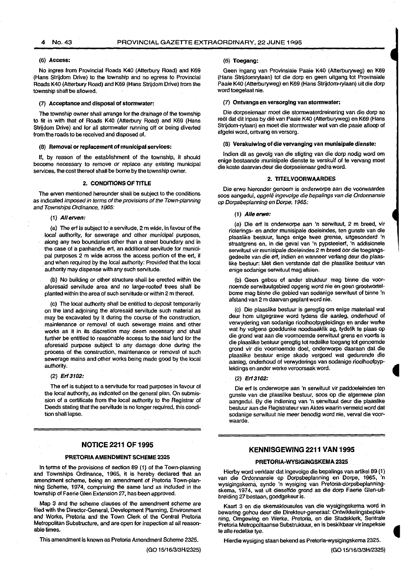#### (6) Access:

No ingres from Provincial Roads K40 (Atterbury Road) and K69 (Hans Strijdom Drive) to the township and no egress to Provincial Roads K40 (Atterbury Road) and K69 (Hans Strijdom Drive) from the township shall be allowed.

#### (7) Acceptance and disposal of stormwater:

The township owner shall arrange for the drainage of the township to fit in with that of Roads K40 (Atterbury Road) and K69 (Hans Strijdom Drive) and for all stormwater running off or being diverted from the roads to be received and disposed of.

(8) Removal or replacement of municipal services:

If, by reason of the establishment of the township, it should become necessary to remove or replace any existing municipal services, the cost thereof shall be borne by the township owner.

#### 2. CONDITIONS OF TITLE

The erven mentioned hereunder shall be subject to the conditions as indicated imposed in terms of the provisions of the Town-planning and Townships Ordinance, 1965:

#### (1) *All* erven:

(a) The erf is subject to a servitude, 2m wide, in favour of the local authority, for sewerage and other municipal purposes, along any two boundaries other than a street boundary and in the case of a panhandle ert, an additional servitude for municipal purposes 2 m wide across the access portion of the erf, if and when required by the local authority: Provided that the local authority may dispense with any such servitude.

(b) No building or other structure shall be erected within the aforesaid servitude area and no large-rooted trees shall be planted within the area of such servitude or within 2 m thereof.

(c) The local authority shall be entitled to deposit temporarily on the land adjoining the aforesaid servitude such material as may be excavated by it during the course of the construction, maintenance or removal of such sewerage mains and other works as it in its discretion may deem necessary and shall further be entitled to reasonable access to the said land for the aforesaid purpose subject to any damage· done during the process of the construction, maintenance or removal of such sewerage mains and other works being made good by the local authority.

#### (2) Erf 3102:

The erf is subject to a servitude for road purposes in favour of the local authority, as indicated on the general plan. On submission of a certificate from the local authority to the Registrar of Deeds stating that the servitude is no longer required, this condition shall lapse.

#### NOTICE 2211 OF 1995

#### PRETORIA AMENDMENT SCHEME 2325

In terms of the provisions of section 89 (1) of the Town-planning and Townships Ordinance, 1965, it is hereby declared that an amendment scheme, being an amendment of Pretoria Town-planning Scheme, 1974, comprising the same land as included in the township of Faerie Glen Extension 27, has been approved.

Map 3 and the scheme clauses of the amendment scheme are filed with the Director-General, Development Planning, Environment and Works, Pretoria and the Town Clerk of the Central Pretoria Metropolitan Substructure, and are open for inspection at all reasonable times.

This amendment is known as Pretoria Amendment Scheme 2325.

(GO 15/16/313H/2325)

#### (6) Toegang:

Geen ingang van Provinsiale Paaie K40 (Atterburyweg) en K69 (Hans Strijdomrylaan) tot die dorp en geen uitgang tot Provinsiale Paaie K40 (Atterburyweg) en K69 (Hans Strijdom-rylaan) uit die dorp word toegelaat nie.

#### (7) Ontvangs en versorglng van stormwater:

Die dorpseienaar moet die stormwaterdreinering van die dorp so reël dat dit inpas by dié van Paaie K40 (Atterburyweg) en K69 (Hans Strijdom-rylaan) en moet die stormwater wat van die paaie afloop of afgelei word, ontvang en versorg.

#### (8) Verskuiwlng of die vervanging van munisipale dienste:

lndien dit as gevolg van die stigting van die dorp nodig word om enige bestaande munisipale dienste te verskuif ot te vervang moet die koste daarvan deur die dorpseienaar gedra word.

#### 2. TITELVOORWAARDES

Die erwe hieronder genoem is onderworpe aan die voorwaardes soos aangedui, opgelê ingevolge die bepalings van die Ordonnansie op Dorpsbeplanning en Dorpe, 1965:

#### (1) Aile erwe:

(a) Die erf is onderworpe aan 'n serwituut, 2 m breed, vir riolerings- en ander munisipale doeleindes, ten gunste van die plaaslike bestuur, langs enige twee grense, uitgesonderd 'n straatgrens en, in die geval van 'n pypsteelerf, 'n addisionele serwituut vir munisipale doeleindes 2 m breed oor die toegangsgedeelte van die erf, indien en wanneer verlang deur die plaaslike bestuur: Met dien verstande dat die plaaslike bestuur van enige sodanige serwituut mag afsien. ,

(b) Geen gebou of ander struktuur mag binne die voornoemde serwituutgebied opgerig word nie en geen grootwortelbome mag binne die gebied van sodanige serwituut of binne 'n afstand van 2 m daarvan geplant word nie.

(c) Die piaaslike bestuur is geregtig om enige materiaal wat deur hom uitgegrawe word tydens die aanleg, onderhoud of verwydering van sodanige rioolhoofpypleidings en ander werke wat hy volgens goeddunke noodsaaklik ag, tydelik te plaas op die grond wat aan die voomoemde serwituut grens en voorts is die plaaslike bestuur geregtig tot redelike toegang tot genoemde grond vir die voornoemde doel, onderworpe daaraan dat die plaaslike bestuur enige skade vergoed wat gedurende die aanleg, onderhoud of verwyderings van sodanige rioolhoofpypleidings en ander werke veroorsaak word.

#### (2) Erf3102:

Die ert is onderworpe aan 'n serwituut vir paddoeleindes ten gunste van die plaaslike bestuur, soos op die algemene plan aangedui. By die indiening van 'n serwituut deur die plaaslike bestuur aan die Registrateur van Aktes waarin vermeld word dat sodanige serwituut nie meer benodig word nie, verval die voorwaarde.

#### KENNISGEWJNG 2211 VAN 1995

#### PRETORIA·WYSIGINGSKEMA 2325

Hierby word verklaar dat ingevolge die bepalings van artikel 89 ( 1) van die Ordonnansie op Dorpsbeplanning en Dorpe, 1965, 'n wysigingskema, synde 'n wysiging van Pretoria-dorpsbeplanningskema, 1974, wat uit dieselfde grond as die dorp Faerie Glen-uitbreiding 27 bestaan, goedgekeur is.

Kaart 3 en die skemaklousules van die wysigingskema word in bewaring gehou deur die Direkteur-generaal: Ontwikkelingsbeplanning, Omgewing en Werke, Pretoria, en die Stadsklerk, Sentrale Pretoria Metropolitaanse Substruktuur, en is beskikbaar vir inspeksie te alle redelike tye.

Hierdie wysiging staan bekend as Pretoria-wysigingskema 2325.

(GO 15/16/313H/2325)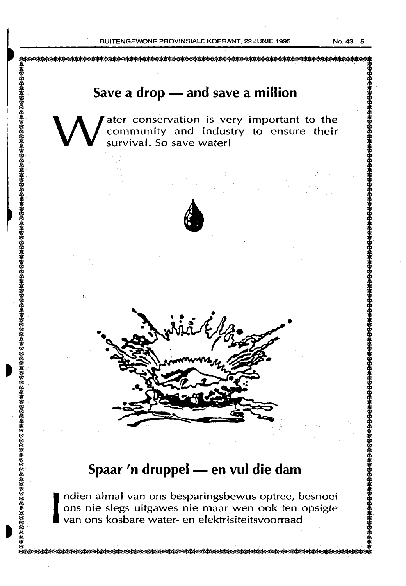## **Save a drop- and save a million**

W ater conservation is very important to the community and industry to ensure their survival. So save water! community and industry to ensure their survival. So save water!





I ndien almal van ons besparingsbewus optree, besnoei ons nie slegs uitgawes nie maar wen ook ten opsigte van ons kosbare water- en elektrisiteitsvoorraad ons nie slegs uitgawes nie maar wen ook ten opsigte van ons kosbare water- en elektrisiteitsvoorraad

躷쑑攃摖嵡摖摖摖摖摖摖虄蛒箂筡蛒檪蠎}{躷瑹}{

•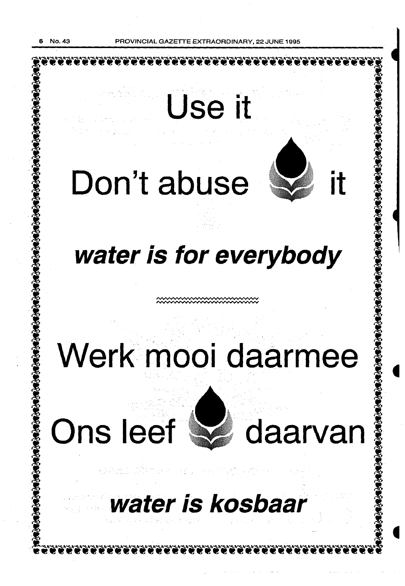**GAZETTE EXTRAORDINARY, 22 JUNE 1995** 

# Use it Don't abuse water is for everybody Werk mooi daarmee Ons leef waarvan 2. 法领袖 (Section 2015) - 网络不能对应。 water is kosbaar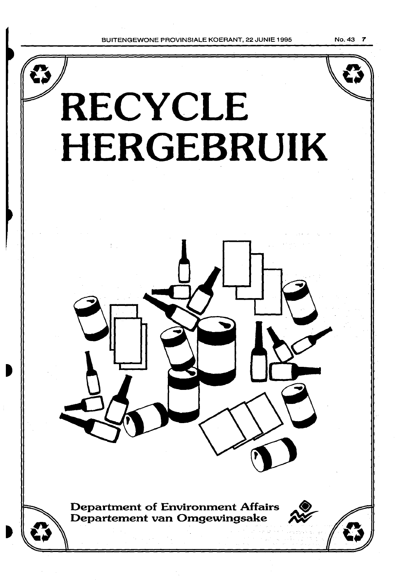BUITENGEWONE PROVINSIALE KOERANT, 22 JUNIE 1995 No. 43 7